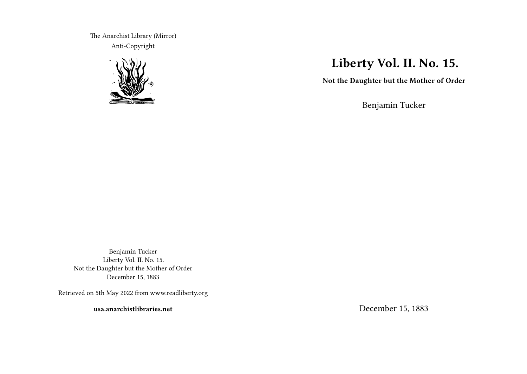The Anarchist Library (Mirror) Anti-Copyright



# **Liberty Vol. II. No. 15.**

**Not the Daughter but the Mother of Order**

Benjamin Tucker

Benjamin Tucker Liberty Vol. II. No. 15. Not the Daughter but the Mother of Order December 15, 1883

Retrieved on 5th May 2022 from www.readliberty.org

**usa.anarchistlibraries.net**

December 15, 1883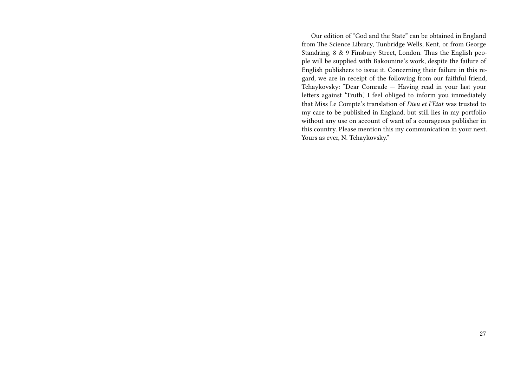Our edition of "God and the State" can be obtained in England from The Science Library, Tunbridge Wells, Kent, or from George Standring, 8 & 9 Finsbury Street, London. Thus the English people will be supplied with Bakounine's work, despite the failure of English publishers to issue it. Concerning their failure in this regard, we are in receipt of the following from our faithful friend, Tchaykovsky: "Dear Comrade — Having read in your last your letters against 'Truth,' I feel obliged to inform you immediately that Miss Le Compte's translation of *Dieu et l'Etat* was trusted to my care to be published in England, but still lies in my portfolio without any use on account of want of a courageous publisher in this country. Please mention this my communication in your next. Yours as ever, N. Tchaykovsky."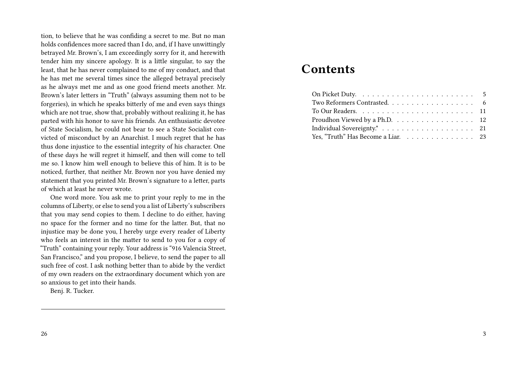tion, to believe that he was confiding a secret to me. But no man holds confidences more sacred than I do, and, if I have unwittingly betrayed Mr. Brown's, I am exceedingly sorry for it, and herewith tender him my sincere apology. It is a little singular, to say the least, that he has never complained to me of my conduct, and that he has met me several times since the alleged betrayal precisely as he always met me and as one good friend meets another. Mr. Brown's later letters in "Truth" (always assuming them not to be forgeries), in which he speaks bitterly of me and even says things which are not true, show that, probably without realizing it, he has parted with his honor to save his friends. An enthusiastic devotee of State Socialism, he could not bear to see a State Socialist convicted of misconduct by an Anarchist. I much regret that he has thus done injustice to the essential integrity of his character. One of these days he will regret it himself, and then will come to tell me so. I know him well enough to believe this of him. It is to be noticed, further, that neither Mr. Brown nor you have denied my statement that you printed Mr. Brown's signature to a letter, parts of which at least he never wrote.

One word more. You ask me to print your reply to me in the columns of Liberty, or else to send you a list of Liberty's subscribers that you may send copies to them. I decline to do either, having no space for the former and no time for the latter. But, that no injustice may be done you, I hereby urge every reader of Liberty who feels an interest in the matter to send to you for a copy of "Truth" containing your reply. Your address is "916 Valencia Street, San Francisco," and you propose, I believe, to send the paper to all such free of cost. I ask nothing better than to abide by the verdict of my own readers on the extraordinary document which yon are so anxious to get into their hands.

Benj. R. Tucker.

## **Contents**

| Proudhon Viewed by a Ph.D. $\ldots$ 12 |  |
|----------------------------------------|--|
|                                        |  |
| Yes, "Truth" Has Become a Liar. 23     |  |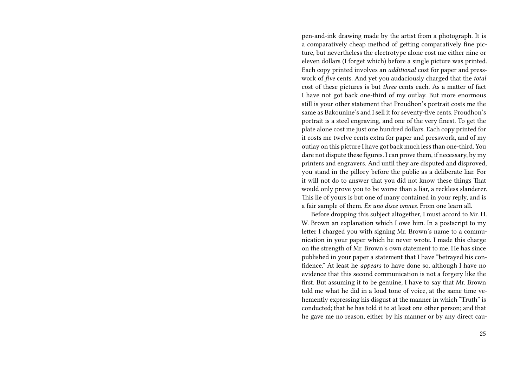pen-and-ink drawing made by the artist from a photograph. It is a comparatively cheap method of getting comparatively fine picture, but nevertheless the electrotype alone cost me either nine or eleven dollars (I forget which) before a single picture was printed. Each copy printed involves an *additional* cost for paper and presswork of *five* cents. And yet you audaciously charged that the *total* cost of these pictures is but *three* cents each. As a matter of fact I have not got back one-third of my outlay. But more enormous still is your other statement that Proudhon's portrait costs me the same as Bakounine's and I sell it for seventy-five cents. Proudhon's portrait is a steel engraving, and one of the very finest. To get the plate alone cost me just one hundred dollars. Each copy printed for it costs me twelve cents extra for paper and presswork, and of my outlay on this picture I have got back much less than one-third. You dare not dispute these figures. I can prove them, if necessary, by my printers and engravers. And until they are disputed and disproved, you stand in the pillory before the public as a deliberate liar. For it will not do to answer that you did not know these things That would only prove you to be worse than a liar, a reckless slanderer. This lie of yours is but one of many contained in your reply, and is a fair sample of them. *Ex uno disce omnes.* From one learn all.

Before dropping this subject altogether, I must accord to Mr. H. W. Brown an explanation which I owe him. In a postscript to my letter I charged you with signing Mr. Brown's name to a communication in your paper which he never wrote. I made this charge on the strength of Mr. Brown's own statement to me. He has since published in your paper a statement that I have "betrayed his confidence." At least he *appears* to have done so, although I have no evidence that this second communication is not a forgery like the first. But assuming it to be genuine, I have to say that Mr. Brown told me what he did in a loud tone of voice, at the same time vehemently expressing his disgust at the manner in which "Truth" is conducted; that he has told it to at least one other person; and that he gave me no reason, either by his manner or by any direct cau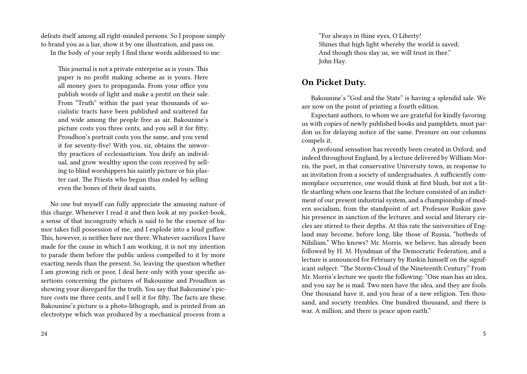defeats itself among all right-minded persons. So I propose simply to brand you as a liar, show it by one illustration, and pass on.

In the body of your reply I find these words addressed to me:

This journal is not a private enterprise as is yours. This paper is no profit making scheme as is yours. Here all money goes to propaganda. From your office you publish words of light and make a protit on their sale. From "Truth" within the past year thousands of socialistic tracts have been published and scattered far and wide among the people free as air. Bakounine's picture costs you three cents, and you sell it for fitty; Proudhon's portrait costs you the same, and you vend it for seventy-five! With you, sir, obtains the unworthy practices of ecclesiasticism. You deify an individual, and grow wealthy upon the coin received by selling to blind worshippers his saintly picture or his plaster cast. The Priests who begun thus ended by selling even the bones of their dead saints.

No one but myself can fully appreciate the amusing nature of this charge. Whenever I read it and then look at my pocket-book, a sense of that incongruity which is said to be the essence of humor takes full possession of me, and I explode into a loud guffaw. This, however, is neither here nor there. Whatever sacrifices I have made for the cause in which I am working, it is not my intention to parade them before the public unless compelled to it by more exacting needs than the present. So, leaving the question whether I am growing rich or poor, I deal here only with your specific assertions concerning the pictures of Bakounine and Proudhon as showing your disregard for the truth. You say that Bakounine's picture costs me three cents, and I sell it for fifty. The facts are these. Bakounine's picture is a photo-lithograph, and is printed from an electrotype which was produced by a mechanical process from a

"For always in thine eyes, O Liberty! Shines that high light whereby the world is saved; And though thou slay us, we will trust in thee." John Hay.

#### **On Picket Duty.**

Bakounine's "God and the State" is having a splendid sale. We are now on the point of printing a fourth edition.

Expectant authors, to whom we are grateful for kindly favoring us with copies of newly published books and pamphlets, must pardon us for delaying notice of the same. Pressure on our columns compels it.

A profound sensation has recently been created in Oxford, and indeed throughout England, by a lecture delivered by William Morris, the poet, in that conservative University town, in response to an invitation from a society of undergraduates. A sufficiently commonplace occurrence, one would think at first blush, but not a little startling when one learns that the lecture consisted of an indictment of our present industrial system, and a championship of modern socialism, from the standpoint of art. Professor Ruskin gave his presence in sanction of the lecturer, and social and literary circles are stirred to their depths. At this rate the universities of England may become, before long, like those of Russia, "hotbeds of Nihilism." Who knows? Mr. Morris, we believe, has already been followed by H. M. Hyndman of the Democratic Federation, and a lecture is announced for February by Ruskin himself on the significant subject: "The Storm-Cloud of the Nineteenth Century." From Mr. Morris's lecture we quote the following: "One man has an idea, and you say he is mad. Two men have the idea, and they are fools. One thousand have it, and you hear of a new religion. Ten thousand, and society trembles. One hundred thousand, and there is war. A million, and there is peace upon earth."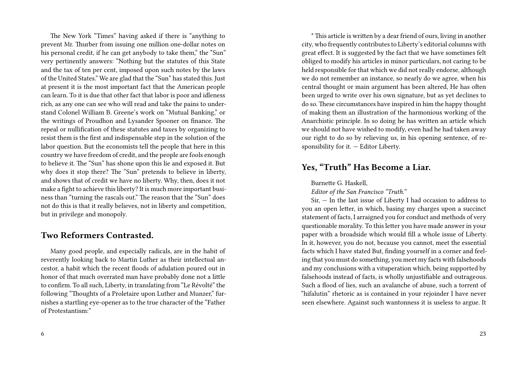The New York "Times" having asked if there is "anything to prevent Mr. Thurber from issuing one million one-dollar notes on his personal credit, if he can get anybody to take them," the "Sun" very pertinently answers: "Nothing but the statutes of this State and the tax of ten per cent, imposed upon such notes by the laws of the United States." We are glad that the "Sun" has stated this. Just at present it is the most important fact that the American people can learn. To it is due that other fact that labor is poor and idleness rich, as any one can see who will read and take the pains to understand Colonel William B. Greene's work on "Mutual Banking," or the writings of Proudhon and Lysander Spooner on finance. The repeal or nullification of these statutes and taxes by organizing to resist them is the first and indispensable step in the solution of the labor question. But the economists tell the people that here in this country we have freedom of credit, and the people are fools enough to believe it. The "Sun" has shone upon this lie and exposed it. But why does it stop there? The "Sun" pretends to believe in liberty, and shows that of credit we have no liberty. Why, then, does it not make a fight to achieve this liberty? It is much more important business than "turning the rascals out." The reason that the "Sun" does not do this is that it really believes, not in liberty and competition, but in privilege and monopoly.

#### **Two Reformers Contrasted.**

Many good people, and especially radicals, are in the habit of reverently looking back to Martin Luther as their intellectual ancestor, a habit which the recent floods of adulation poured out in honor of that much overrated man have probably done not a little to confirm. To all such, Liberty, in translating from "Le Révolté" the following "Thoughts of a Proletaire upon Luther and Munzer," furnishes a startling eye-opener as to the true character of the "Father of Protestantism:"

\* This article is written by a dear friend of ours, living in another city, who frequently contributes to Liberty's editorial columns with great effect. It is suggested by the fact that we have sometimes felt obliged to modify his articles in minor particulars, not caring to be held responsible for that which we did not really endorse, although we do not remember an instance, so nearly do we agree, when his central thought or main argument has been altered, He has often been urged to write over his own signature, but as yet declines to do so. These circumstances have inspired in him the happy thought of making them an illustration of the harmonious working of the Anarchistic principle. In so doing he has written an article which we should not have wished to modify, even had he had taken away our right to do so by relieving us, in his opening sentence, of responsibility for it. — Editor Liberty.

## **Yes, "Truth" Has Become a Liar.**

Burnette G. Haskell,

*Editor of the San Francisco "Truth."*

Sir, — In the last issue of Liberty I had occasion to address to you an open letter, in which, basing my charges upon a succinct statement of facts, I arraigned you for conduct and methods of very questionable morality. To this letter you have made answer in your paper with a broadside which would fill a whole issue of Liberty. In it, however, you do not, because you cannot, meet the essential facts which I have stated But, finding yourself in a corner and feeling that you must do something, you meet my facts with falsehoods and my conclusions with a vituperation which, being supported by falsehoods instead of facts, is wholly unjustifiable and outrageous. Such a flood of lies, such an avalanche of abuse, such a torrent of "hifalutin" rhetoric as is contained in your rejoinder I have never seen elsewhere. Against such wantonness it is useless to argue. It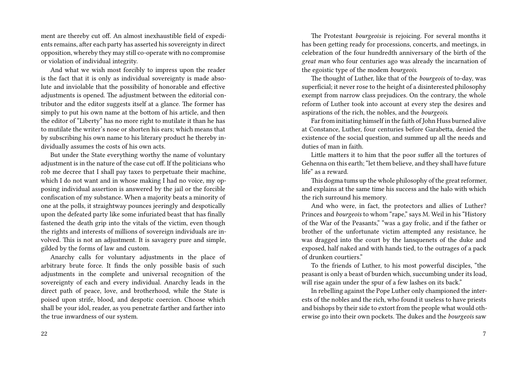ment are thereby cut off. An almost inexhaustible field of expedients remains, after each party has asserted his sovereignty in direct opposition, whereby they may still co-operate with no compromise or violation of individual integrity.

And what we wish most forcibly to impress upon the reader is the fact that it is only as individual sovereignty is made absolute and inviolable that the possibility of honorable and effective adjustments is opened. The adjustment between the editorial contributor and the editor suggests itself at a glance. The former has simply to put his own name at the bottom of his article, and then the editor of "Liberty" has no more right to mutilate it than he has to mutilate the writer's nose or shorten his ears; which means that by subscribing his own name to his literary product he thereby individually assumes the costs of his own acts.

But under the State everything worthy the name of voluntary adjustment is in the nature of the case cut off. If the politicians who rob me decree that I shall pay taxes to perpetuate their machine, which I do not want and in whose making I had no voice, my opposing individual assertion is answered by the jail or the forcible confiscation of my substance. When a majority beats a minority of one at the polls, it straightway pounces jeeringly and despotically upon the defeated party like some infuriated beast that has finally fastened the death grip into the vitals of the victim, even though the rights and interests of millions of sovereign individuals are involved. This is not an adjustment. It is savagery pure and simple, gilded by the forms of law and custom.

Anarchy calls for voluntary adjustments in the place of arbitrary brute force. It finds the only possible basis of such adjustments in the complete and universal recognition of the sovereignty of each and every individual. Anarchy leads in the direct path of peace, love, and brotherhood, while the State is poised upon strife, blood, and despotic coercion. Choose which shall be your idol, reader, as you penetrate farther and farther into the true inwardness of our system.

The Protestant *bourgeoisie* is rejoicing. For several months it has been getting ready for processions, concerts, and meetings, in celebration of the four hundredth anniversary of the birth of the *great man* who four centuries ago was already the incarnation of the egoistic type of the modem *bourgeois*.

The thought of Luther, like that of the *bourgeois* of to-day, was superficial; it never rose to the height of a disinterested philosophy exempt from narrow class prejudices. On the contrary, the whole reform of Luther took into account at every step the desires and aspirations of the rich, the nobles, and the *bourgeois*.

Far from initiating himself in the faith of John Huss burned alive at Constance, Luther, four centuries before Garabetta, denied the existence of the social question, and summed up all the needs and duties of man in faith.

Little matters it to him that the poor suffer all the tortures of Gehenna on this earth; "let them believe, and they shall have future life" as a reward.

This dogma tums up the whole philosophy of the great reformer, and explains at the same time his success and the halo with which the rich surround his memory.

And who were, in fact, the protectors and allies of Luther? Princes and *bourgeois* to whom "rape," says M. Weil in his "History of the War of the Peasants," "was a gay frolic, and if the father or brother of the unfortunate victim attempted any resistance, he was dragged into the court by the lansquenets of the duke and exposed, half naked and with hands tied, to the outrages of a pack of drunken courtiers."

To the friends of Luther, to his most powerful disciples, "the peasant is only a beast of burden which, succumbing under its load, will rise again under the spur of a few lashes on its back."

In rebelling against the Pope Luther only championed the interests of the nobles and the rich, who found it useless to have priests and bishops by their side to extort from the people what would otherwise go into their own pockets. The dukes and the *bourgeois* saw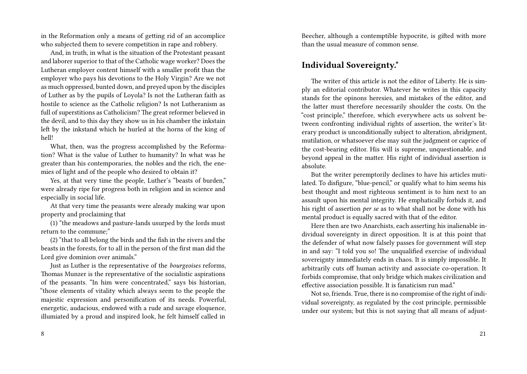in the Reformation only a means of getting rid of an accomplice who subjected them to severe competition in rape and robbery.

And, in truth, in what is the situation of the Protestant peasant and laborer superior to that of the Catholic wage worker? Does the Lutheran employer content himself with a smaller profit than the employer who pays his devotions to the Holy Virgin? Are we not as much oppressed, bunted down, and preyed upon by the disciples of Luther as by the pupils of Loyola? Is not the Lutheran faith as hostile to science as the Catholic religion? Is not Lutheranism as full of superstitions as Catholicism? The great reformer believed in the devil, and to this day they show us in his chamber the inkstain left by the inkstand which he hurled at the horns of the king of hell!

What, then, was the progress accomplished by the Reformation? What is the value of Luther to humanity? In what was he greater than his contemporaries, the nobles and the rich, the enemies of light and of the people who desired to obtain it?

Yes, at that very time the people, Luther's "beasts of burden," were already ripe for progress both in religion and in science and especially in social life.

At that very time the peasants were already making war upon property and proclaiming that

(1) "the meadows and pasture-lands usurped by the lords must return to the commune;"

(2) "that to all belong the birds and the fish in the rivers and the beasts in the forests, for to all in the person of the first man did the Lord give dominion over animals."

Just as Luther is the representative of the *bourgeoises* reforms, Thomas Munzer is the representative of the socialistic aspirations of the peasants. "In him were concentrated," says bis historian, "those elements of vitality which always seem to the people the majestic expression and personification of its needs. Powerful, energetic, audacious, endowed with a rude and savage eloquence, illumiated by a proud and inspired look, he felt himself called in

8

Beecher, although a contemptible hypocrite, is gifted with more than the usual measure of common sense.

## **Individual Sovereignty.\***

The writer of this article is not the editor of Liberty. He is simply an editorial contributor. Whatever he writes in this capacity stands for the opinons heresies, and mistakes of the editor, and the latter must therefore necessarily shoulder the costs. On the "cost principle," therefore, which everywhere acts us solvent between confronting individual rights of assertion, the writer's literary product is unconditionally subject to alteration, abridgment, mutilation, or whatsoever else may suit the judgment or caprice of the cost-bearing editor. His will is supreme, unquestionable, and beyond appeal in the matter. His right of individual assertion is absolute.

But the writer peremptorily declines to have his articles mutilated. To disfigure, "blue-pencil," or qualify what to him seems his best thought and most righteous sentiment is to him next to an assault upon his mental integrity. He emphatically forbids it, and his right of assertion *per se* as to what shall not be done with his mental product is equally sacred with that of the editor.

Here then are two Anarchists, each asserting his inalienable individual sovereignty in direct opposition. It is at this point that the defender of what now falsely passes for government will step in and say: "I told you so! The unqualified exercise of individual sovereignty immediately ends in chaos. It is simply impossible. It arbitrarily cuts off human activity and associate co-operation. It forbids compromise, that only bridge which makes civilization and effective association possible. It is fanaticism run mad."

Not so, friends. True, there is no compromise of the right of individual sovereignty, as regulated by the cost principle, permissible under our system; but this is not saying that all means of adjust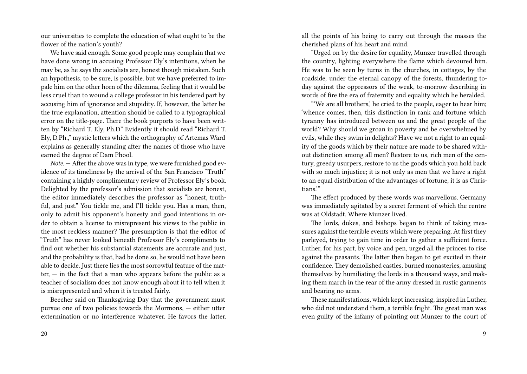our universities to complete the education of what ought to be the flower of the nation's youth?

We have said enough. Some good people may complain that we have done wrong in accusing Professor Ely's intentions, when he may be, as he says the socialists are, honest though mistaken. Such an hypothesis, to be sure, is possible. but we have preferred to impale him on the other horn of the dilemma, feeling that it would be less cruel than to wound a college professor in his tendered part by accusing him of ignorance and stupidity. If, however, the latter be the true explanation, attention should be called to a typographical error on the title-page. There the book purports to have been written by "Richard T. Ely, Ph.D" Evidently it should read "Richard T. Ely, D.Ph.," mystic letters which the orthography of Artemas Ward explains as generally standing after the names of those who have earned the degree of Dam Phool.

*Note.* — After the above was in type, we were furnished good evidence of its timeliness by the arrival of the San Francisco "Truth" containing a highly complimentary review of Professor Ely's book. Delighted by the professor's admission that socialists are honest, the editor immediately describes the professor as "honest, truthful, and just." You tickle me, and I'll tickle you. Has a man, then, only to admit his opponent's honesty and good intentions in order to obtain a license to misrepresent his views to the public in the most reckless manner? The presumption is that the editor of "Truth" has never looked beneath Professor Ely's compliments to find out whether his substantial statements are accurate and just, and the probability is that, had be done so, he would not have been able to decide. Just there lies the most sorrowful feature of the matter,  $-$  in the fact that a man who appears before the public as a teacher of socialism does not know enough about it to tell when it is misrepresented and when it is treated fairly.

Beecher said on Thanksgiving Day that the government must pursue one of two policies towards the Mormons, — either utter extermination or no interference whatever. He favors the latter. all the points of his being to carry out through the masses the cherished plans of his heart and mind.

"Urged on by the desire for equality, Munzer travelled through the country, lighting everywhere the flame which devoured him. He was to be seen by turns in the churches, in cottages, by the roadside, under the eternal canopy of the forests, thundering today against the oppressors of the weak, to-morrow describing in words of fire the era of fraternity and equality which he heralded.

"'We are all brothers,' he cried to the people, eager to hear him; 'whence comes, then, this distinction in rank and fortune which tyranny has introduced between us and the great people of the world? Why should we groan in poverty and be overwhelmed by evils, while they swim in delights? Have we not a right to an equality of the goods which by their nature are made to be shared without distinction among all men? Restore to us, rich men of the century, greedy usurpers, restore to us the goods which you hold back with so much injustice; it is not only as men that we have a right to an equal distribution of the advantages of fortune, it is as Christians.'"

The effect produced by these words was marvellous. Germany was immediately agitated by a secret ferment of which the centre was at Oldstadt, Where Munzer lived.

The lords, dukes, and bishops began to think of taking measures against the terrible events which were preparing. At first they parleyed, trying to gain time in order to gather a sufficient force. Luther, for his part, by voice and pen, urged all the princes to rise against the peasants. The latter then began to get excited in their confidence. They demolished castles, burned monasteries, amusing themselves by humiliating the lords in a thousand ways, and making them march in the rear of the army dressed in rustic garments and bearing no arms.

These manifestations, which kept increasing, inspired in Luther, who did not understand them, a terrible fright. The great man was even guilty of the infamy of pointing out Munzer to the court of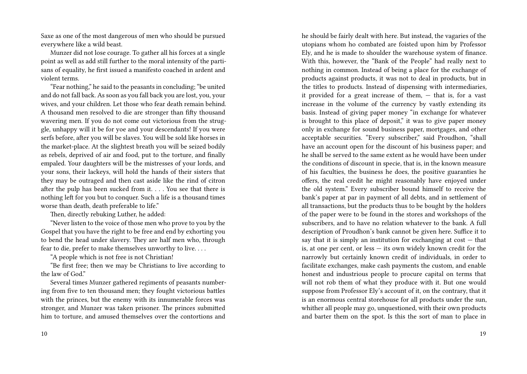Saxe as one of the most dangerous of men who should be pursued everywhere like a wild beast.

Munzer did not lose courage. To gather all his forces at a single point as well as add still further to the moral intensity of the partisans of equality, he first issued a manifesto coached in ardent and violent terms.

"Fear nothing," he said to the peasants in concluding; "be united and do not fall back. As soon as you fall back you are lost, you, your wives, and your children. Let those who fear death remain behind. A thousand men resolved to die are stronger than fifty thousand wavering men. If you do not come out victorious from the struggle, unhappy will it be for yoe and your descendants! If you were serfs before, after you will be slaves. You will be sold like horses in the market-place. At the slightest breath you will be seized bodily as rebels, deprived of air and food, put to the torture, and finally empaled. Your daughters will be the mistresses of your lords, and your sons, their lackeys, will hold the hands of their sisters that they may be outraged and then cast aside like the rind of citron after the pulp has been sucked from it. . . . You see that there is nothing left for you but to conquer. Such a life is a thousand times worse than death, death preferable to life."

Then, directly rebuking Luther, he added:

"Never listen to the voice of those men who prove to you by the Gospel that you have the right to be free and end by exhorting you to bend the head under slavery. They are half men who, through fear to die, prefer to make themselves unworthy to live. . . .

"A people which is not free is not Christian!

"Be first free; then we may be Christians to live according to the law of God."

Several times Munzer gathered regiments of peasants numbering from five to ten thousand men; they fought victorious battles with the princes, but the enemy with its innumerable forces was stronger, and Munzer was taken prisoner. The princes submitted him to torture, and amused themselves over the contortions and

he should be fairly dealt with here. But instead, the vagaries of the utopians whom ho combated are foisted upon him by Professor Ely, and he is made to shoulder the warehouse system of finance. With this, however, the "Bank of the People" had really next to nothing in common. Instead of being a place for the exchange of products against products, it was not to deal in products, but in the titles to products. Instead of dispensing with intermediaries, it provided for a great increase of them, — that is, for a vast increase in the volume of the currency by vastly extending its basis. Instead of giving paper money "in exchange for whatever is brought to this place of deposit," it was to give paper money only in exchange for sound business paper, mortgages, and other acceptable securities. "Every subscriber," said Proudhon, "shall have an account open for the discount of his business paper; and he shall be served to the same extent as he would have been under the conditions of discount in specie, that is, in the known measure of his faculties, the business he does, the positive guaranties he offers, the real credit he might reasonably have enjoyed under the old system." Every subscriber bound himself to receive the bank's paper at par in payment of all debts, and in settlement of all transactions, but the products thus to be bought by the holders of the paper were to be found in the stores and workshops of the subscribers, and to have no relation whatever to the bank. A full description of Proudhon's bank cannot be given here. Suffice it to say that it is simply an institution for exchanging at  $cost - that$ is, at one per cent, or less — its own widely known credit for the narrowly but certainly known credit of individuals, in order to facilitate exchanges, make cash payments the custom, and enable honest and industrious people to procure capital on terms that will not rob them of what they produce with it. But one would suppose from Professor Ely's account of it, on the contrary, that it is an enormous central storehouse for all products under the sun, whither all people may go, unquestioned, with their own products and barter them on the spot. Is this the sort of man to place in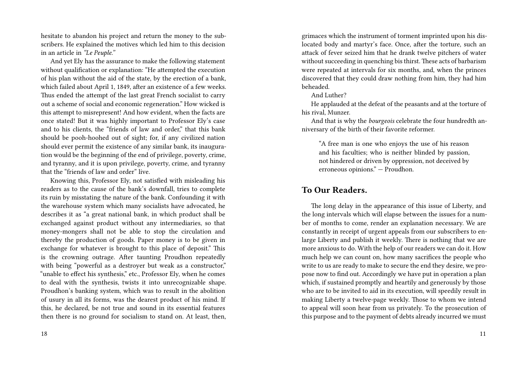hesitate to abandon his project and return the money to the subscribers. He explained the motives which led him to this decision in an article in *"Le Peuple."*

And yet Ely has the assurance to make the following statement without qualification or explanation: "He attempted the execution of his plan without the aid of the state, by the erection of a bank, which failed about April 1, 1849, after an existence of a few weeks. Thus ended the attempt of the last great French socialist to carry out a scheme of social and economic regeneration." How wicked is this attempt to misrepresent! And how evident, when the facts are once stated! But it was highly important to Professor Ely's case and to his clients, the "friends of law and order," that this bank should be pooh-hoohed out of sight; for, if any civilized nation should ever permit the existence of any similar bank, its inauguration would be the beginning of the end of privilege, poverty, crime, and tyranny, and it is upon privilege, poverty, crime, and tyranny that the "friends of law and order" live.

Knowing this, Professor Ely, not satisfied with misleading his readers as to the cause of the bank's downfall, tries to complete its ruin by misstating the nature of the bank. Confounding it with the warehouse system which many socialists have advocated, he describes it as "a great national bank, in which product shall be exchanged against product without any intermediaries, so that money-mongers shall not be able to stop the circulation and thereby the production of goods. Paper money is to be given in exchange for whatever is brought to this place of deposit." This is the crowning outrage. After taunting Proudhon repeatedly with being "powerful as a destroyer but weak as a constructor," "unable to effect his synthesis," etc., Professor Ely, when he comes to deal with the synthesis, twists it into unrecognizable shape. Proudhon's banking system, which was to result in the abolition of usury in all its forms, was the dearest product of his mind. If this, he declared, be not true and sound in its essential features then there is no ground for socialism to stand on. At least, then,

grimaces which the instrument of torment imprinted upon his dislocated body and martyr's face. Once, after the torture, such an attack of fever seized him that he drank twelve pitchers of water without succeeding in quenching bis thirst. These acts of barbarism were repeated at intervals for six months, and, when the princes discovered that they could draw nothing from him, they had him beheaded.

And Luther?

He applauded at the defeat of the peasants and at the torture of his rival, Munzer.

And that is why the *bourgeois* celebrate the four hundredth anniversary of the birth of their favorite reformer.

"A free man is one who enjoys the use of his reason and his faculties; who is neither blinded by passion, not hindered or driven by oppression, not deceived by erroneous opinions." — Proudhon.

## **To Our Readers.**

The long delay in the appearance of this issue of Liberty, and the long intervals which will elapse between the issues for a number of months to come, render an explanation necessary. We are constantly in receipt of urgent appeals from our subscribers to enlarge Liberty and publish it weekly. There is nothing that we are more anxious to do. With the help of our readers we can do it. How much help we can count on, how many sacrifices the people who write to us are ready to make to secure the end they desire, we propose now to find out. Accordingly we have put in operation a plan which, if sustained promptly and heartily and generously by those who are to be invited to aid in its execution, will speedily result in making Liberty a twelve-page weekly. Those to whom we intend to appeal will soon hear from us privately. To the prosecution of this purpose and to the payment of debts already incurred we must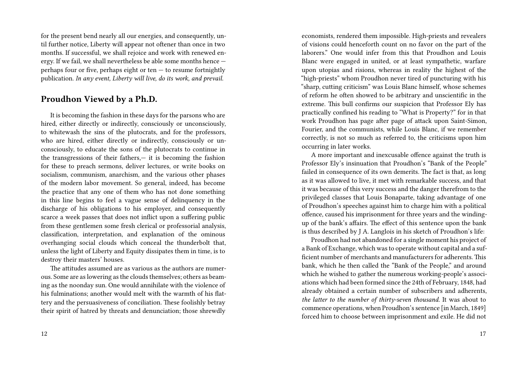for the present bend nearly all our energies, and consequently, until further notice, Liberty will appear not oftener than once in two months. If successful, we shall rejoice and work with renewed energy. If we fail, we shall nevertheless be able some months hence perhaps four or five, perhaps eight or ten  $-$  to resume fortnightly publication. *In any event, Liberty will live, do its work, and prevail.*

#### **Proudhon Viewed by a Ph.D.**

It is becoming the fashion in these days for the parsons who are hired, either directly or indirectly, consciously or unconsciously, to whitewash the sins of the plutocrats, and for the professors, who are hired, either directly or indirectly, consciously or unconsciously, to educate the sons of the plutocrats to continue in the transgressions of their fathers,— it is becoming the fashion for these to preach sermons, deliver lectures, or write books on socialism, communism, anarchism, and the various other phases of the modern labor movement. So general, indeed, has become the practice that any one of them who has not done something in this line begins to feel a vague sense of delinquency in the discharge of his obligations to his employer, and consequently scarce a week passes that does not inflict upon a suffering public from these gentlemen some fresh clerical or professorial analysis, classification, interpretation, and explanation of the ominous overhanging social clouds which conceal the thunderbolt that, unless the light of Liberty and Equity dissipates them in time, is to destroy their masters' houses.

The attitudes assumed are as various as the authors are numerous. Some are as lowering as the clouds themselves; others as beaming as the noonday sun. One would annihilate with the violence of his fulminations; another would melt with the warmth of his flattery and the persuasiveness of conciliation. These foolishly betray their spirit of hatred by threats and denunciation; those shrewdly economists, rendered them impossible. High-priests and revealers of visions could henceforth count on no favor on the part of the laborers." One would infer from this that Proudhon and Louis Blanc were engaged in united, or at least sympathetic, warfare upon utopias and risions, whereas in reality the highest of the "high-priests" whom Proudhon never tired of puncturing with his "sharp, cutting criticism" was Louis Blanc himself, whose schemes of reform he often showed to be arbitrary and unscientific in the extreme. This bull confirms our suspicion that Professor Ely has practically confined his reading to "What is Property?" for in that work Proudhon has page after page of attack upon Saint-Simon, Fourier, and the communists, while Louis Blanc, if we remember correctly, is not so much as referred to, the criticisms upon him occurring in later works.

A more important and inexcusable offence against the truth is Professor Ely's insinuation that Proudhon's "Bank of the People" failed in consequence of its own demerits. The fact is that, as long as it was allowed to live, it met with remarkable success, and that it was because of this very success and the danger therefrom to the privileged classes that Louis Bonaparte, taking advantage of one of Proudhon's speeches against him to charge him with a political offence, caused his imprisonment for three years and the windingup of the bank's affairs. The effect of this sentence upon the bank is thus described by J A. Langlois in his sketch of Proudhon's life:

Proudhon had not abandoned for a single moment his project of a Bank of Exchange, which was to operate without capital and a sufficient number of merchants and manufacturers for adherents. This bank, which he then called the "Bank of the People," and around which he wished to gather the numerous working-people's associations which had been formed since the 24th of February, 1848, had already obtained a certain number of subscribers and adherents, *the latter to the number of thirty-seven thousand.* It was about to commence operations, when Proudhon's sentence [in March, 1849] forced him to choose between imprisonment and exile. He did not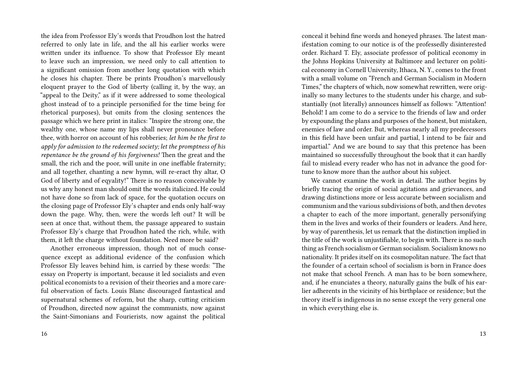the idea from Professor Ely's words that Proudhon lost the hatred referred to only late in life, and the all his earlier works were written under its influence. To show that Professor Ely meant to leave such an impression, we need only to call attention to a significant omission from another long quotation with which he closes his chapter. There be prints Proudhon's marvellously eloquent prayer to the God of liberty (calling it, by the way, an "appeal to the Deity," as if it were addressed to some theological ghost instead of to a principle personified for the time being for rhetorical purposes), but omits from the closing sentences the passage which we here print in italics: "Inspire the strong one, the wealthy one, whose name my lips shall never pronounce before thee, with horror on account of his robberies; *let him be the first to apply for admission to the redeemed society; let the promptness of his repentance be the ground of his forgiveness!* Then the great and the small, the rich and the poor, will unite in one ineffable fraternity; and all together, chanting a new hymn, will re-eract thy altar, O God of liberty and of eqyality!" There is no reason conceivable by us why any honest man should omit the words italicized. He could not have done so from lack of space, for the quotation occurs on the closing page of Professor Ely's chapter and ends only half-way down the page. Why, then, were the words left out? It will be seen at once that, without them, the passage appeared to sustain Professor Ely's charge that Proudhon hated the rich, while, with them, it left the charge without foundation. Need more be said?

Another erroneous impression, though not of much consequence except as additional evidence of the confusion which Professor Ely leaves behind him, is carried by these words: "The essay on Property is important, because it led socialists and even political economists to a revision of their theories and a more careful observation of facts. Louis Blanc discouraged fantastical and supernatural schemes of reform, but the sharp, cutting criticism of Proudhon, directed now against the communists, now against the Saint-Simonians and Fourierists, now against the political

conceal it behind fine words and honeyed phrases. The latest manifestation coming to our notice is of the professedly disinterested order. Richard T. Ely, associate professor of political economy in the Johns Hopkins University at Baltimore and lecturer on political economy in Cornell University, Ithaca, N. Y., comes to the front with a small volume on "French and German Socialism in Modern Times," the chapters of which, now somewhat rewritten, were originally so many lectures to the students under his charge, and substantially (not literally) announces himself as follows: "Attention! Behold! I am come to do a service to the friends of law and order by expounding the plans and purposes of the honest, but mistaken, enemies of law and order. But, whereas nearly all my predecessors in this field have been unfair and partial, I intend to be fair and impartial." And we are bound to say that this pretence has been maintained so successfully throughout the book that it can hardly fail to mislead every reader who has not in advance the good fortune to know more than the author about his subject.

We cannot examine the work in detail. The author begins by briefly tracing the origin of social agitations and grievances, and drawing distinctions more or less accurate between socialism and communism and the various subdivisions of both, and then devotes a chapter to each of the more important, generally personifying them in the lives and works of their founders or leaders. And here, by way of parenthesis, let us remark that the distinction implied in the title of the work is unjustifiable, to begin with. There is no such thing as French socialism or German socialism. Socialism knows no nationality. It prides itself on its cosmopolitan nature. The fact that the founder of a certain school of socialism is born in France does not make that school French. A man has to be born somewhere, and, if he enunciates a theory, naturally gains the bulk of his earlier adherents in the vicinity of his birthplace or residence; but the theory itself is indigenous in no sense except the very general one in which everything else is.